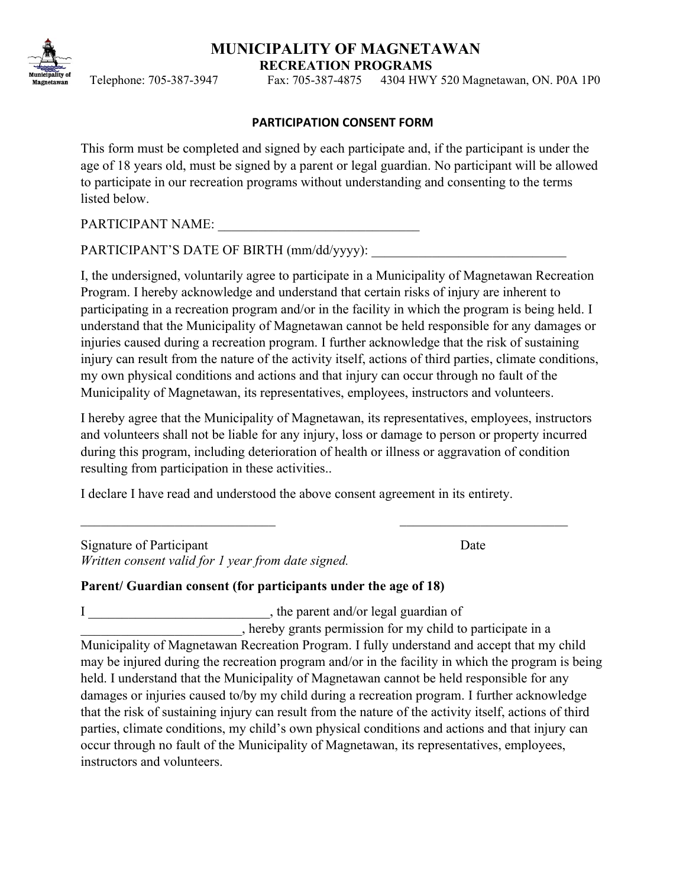## **MUNICIPALITY OF MAGNETAWAN RECREATION PROGRAMS**

Telephone: 705-387-3947 Fax: 705-387-4875 4304 HWY 520 Magnetawan, ON. P0A 1P0

#### **PARTICIPATION CONSENT FORM**

This form must be completed and signed by each participate and, if the participant is under the age of 18 years old, must be signed by a parent or legal guardian. No participant will be allowed to participate in our recreation programs without understanding and consenting to the terms listed below.

PARTICIPANT NAME:

PARTICIPANT'S DATE OF BIRTH (mm/dd/yyyy):

I, the undersigned, voluntarily agree to participate in a Municipality of Magnetawan Recreation Program. I hereby acknowledge and understand that certain risks of injury are inherent to participating in a recreation program and/or in the facility in which the program is being held. I understand that the Municipality of Magnetawan cannot be held responsible for any damages or injuries caused during a recreation program. I further acknowledge that the risk of sustaining injury can result from the nature of the activity itself, actions of third parties, climate conditions, my own physical conditions and actions and that injury can occur through no fault of the Municipality of Magnetawan, its representatives, employees, instructors and volunteers.

I hereby agree that the Municipality of Magnetawan, its representatives, employees, instructors and volunteers shall not be liable for any injury, loss or damage to person or property incurred during this program, including deterioration of health or illness or aggravation of condition resulting from participation in these activities..

I declare I have read and understood the above consent agreement in its entirety.

Signature of Participant Date *Written consent valid for 1 year from date signed.*

# **Parent/ Guardian consent (for participants under the age of 18)**

I contract and/or legal guardian of

\_\_\_\_\_\_\_\_\_\_\_\_\_\_\_\_\_\_\_\_\_\_\_\_, hereby grants permission for my child to participate in a Municipality of Magnetawan Recreation Program. I fully understand and accept that my child may be injured during the recreation program and/or in the facility in which the program is being held. I understand that the Municipality of Magnetawan cannot be held responsible for any damages or injuries caused to/by my child during a recreation program. I further acknowledge that the risk of sustaining injury can result from the nature of the activity itself, actions of third parties, climate conditions, my child's own physical conditions and actions and that injury can occur through no fault of the Municipality of Magnetawan, its representatives, employees, instructors and volunteers.

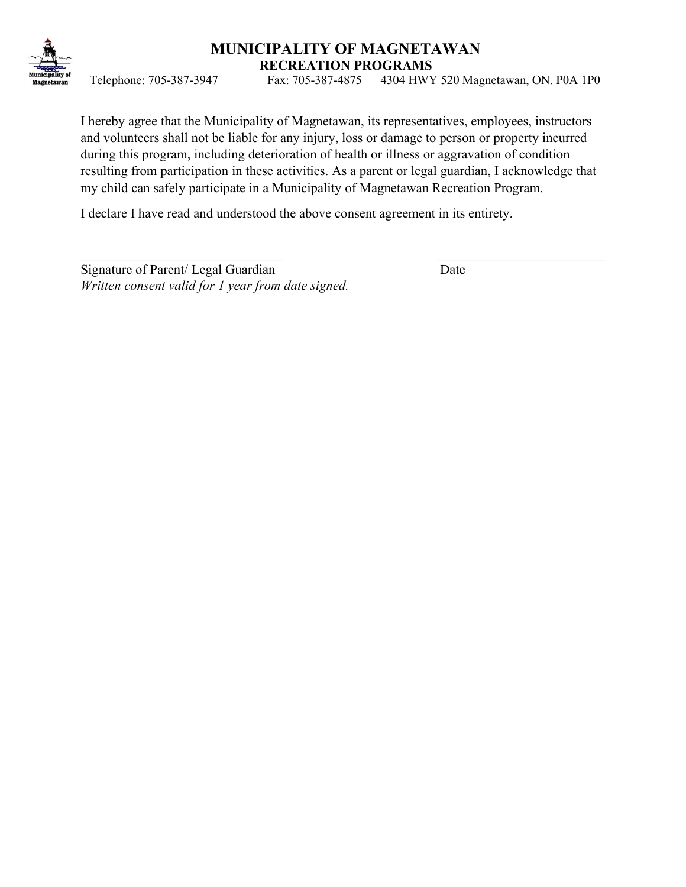

# **MUNICIPALITY OF MAGNETAWAN RECREATION PROGRAMS**

Telephone: 705-387-3947 Fax: 705-387-4875 4304 HWY 520 Magnetawan, ON. P0A 1P0

I hereby agree that the Municipality of Magnetawan, its representatives, employees, instructors and volunteers shall not be liable for any injury, loss or damage to person or property incurred during this program, including deterioration of health or illness or aggravation of condition resulting from participation in these activities. As a parent or legal guardian, I acknowledge that my child can safely participate in a Municipality of Magnetawan Recreation Program.

I declare I have read and understood the above consent agreement in its entirety.

Signature of Parent/ Legal Guardian Date *Written consent valid for 1 year from date signed.*